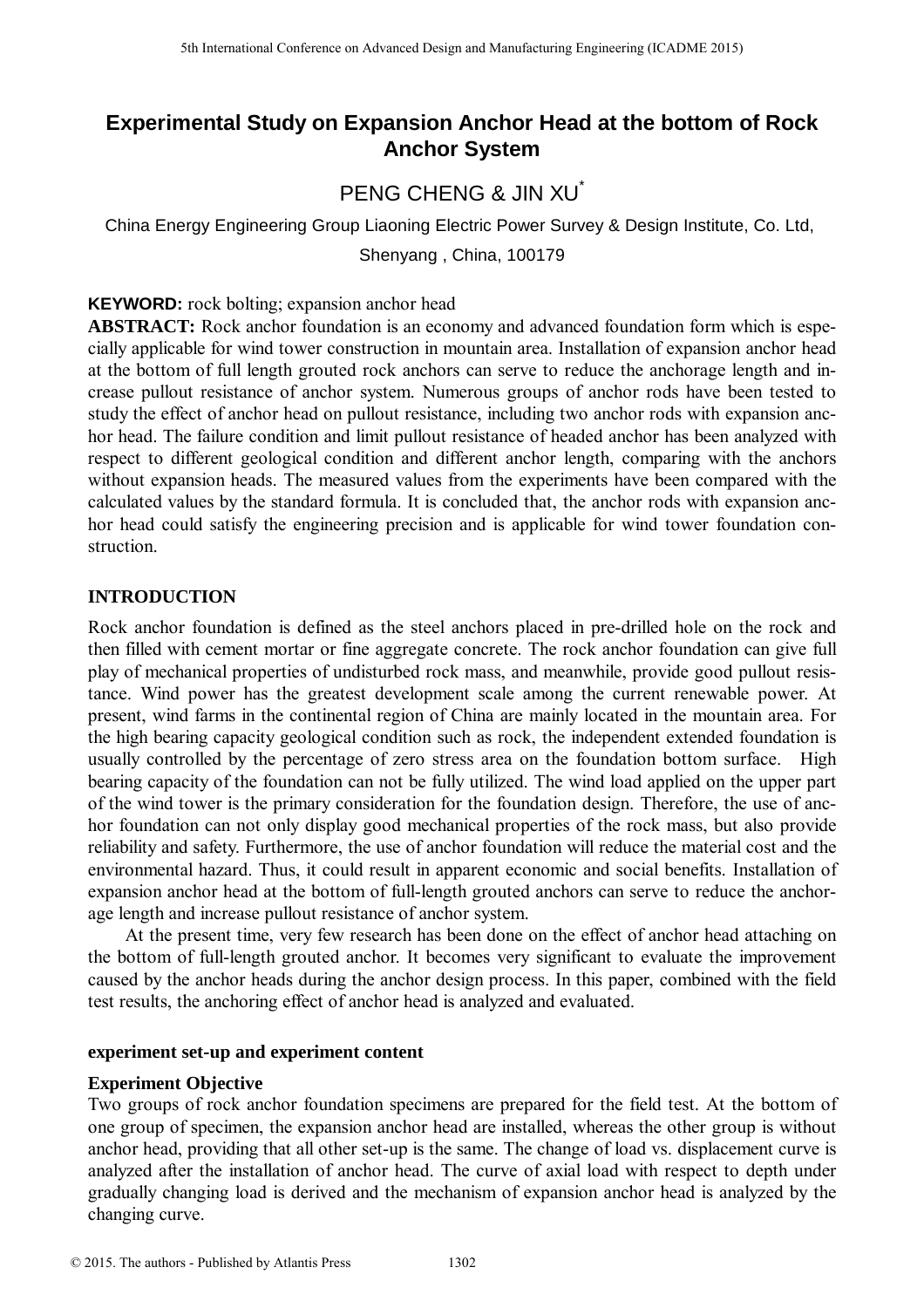# **Experimental Study on Expansion Anchor Head at the bottom of Rock Anchor System**

# PENG CHENG & JIN XII<sup>\*</sup>

China Energy Engineering Group Liaoning Electric Power Survey & Design Institute, Co. Ltd, Shenyang , China, 100179

**KEYWORD:** rock bolting; expansion anchor head

**ABSTRACT:** Rock anchor foundation is an economy and advanced foundation form which is especially applicable for wind tower construction in mountain area. Installation of expansion anchor head at the bottom of full length grouted rock anchors can serve to reduce the anchorage length and increase pullout resistance of anchor system. Numerous groups of anchor rods have been tested to study the effect of anchor head on pullout resistance, including two anchor rods with expansion anchor head. The failure condition and limit pullout resistance of headed anchor has been analyzed with respect to different geological condition and different anchor length, comparing with the anchors without expansion heads. The measured values from the experiments have been compared with the calculated values by the standard formula. It is concluded that, the anchor rods with expansion anchor head could satisfy the engineering precision and is applicable for wind tower foundation construction.

## **INTRODUCTION**

Rock anchor foundation is defined as the steel anchors placed in pre-drilled hole on the rock and then filled with cement mortar or fine aggregate concrete. The rock anchor foundation can give full play of mechanical properties of undisturbed rock mass, and meanwhile, provide good pullout resistance. Wind power has the greatest development scale among the current renewable power. At present, wind farms in the continental region of China are mainly located in the mountain area. For the high bearing capacity geological condition such as rock, the independent extended foundation is usually controlled by the percentage of zero stress area on the foundation bottom surface. High bearing capacity of the foundation can not be fully utilized. The wind load applied on the upper part of the wind tower is the primary consideration for the foundation design. Therefore, the use of anchor foundation can not only display good mechanical properties of the rock mass, but also provide reliability and safety. Furthermore, the use of anchor foundation will reduce the material cost and the environmental hazard. Thus, it could result in apparent economic and social benefits. Installation of expansion anchor head at the bottom of full-length grouted anchors can serve to reduce the anchorage length and increase pullout resistance of anchor system. <sup>516</sup> the transies (and tomos an Advanced Design and Manufacture of EVAD CMC **CONF**<br> **Experimental Study on Experimental Conference on American Conference on American Conference on American Conference on Advanced Design an** 

At the present time, very few research has been done on the effect of anchor head attaching on the bottom of full-length grouted anchor. It becomes very significant to evaluate the improvement caused by the anchor heads during the anchor design process. In this paper, combined with the field test results, the anchoring effect of anchor head is analyzed and evaluated.

#### **experiment set-up and experiment content**

#### **Experiment Objective**

Two groups of rock anchor foundation specimens are prepared for the field test. At the bottom of one group of specimen, the expansion anchor head are installed, whereas the other group is without anchor head, providing that all other set-up is the same. The change of load vs. displacement curve is analyzed after the installation of anchor head. The curve of axial load with respect to depth under gradually changing load is derived and the mechanism of expansion anchor head is analyzed by the changing curve.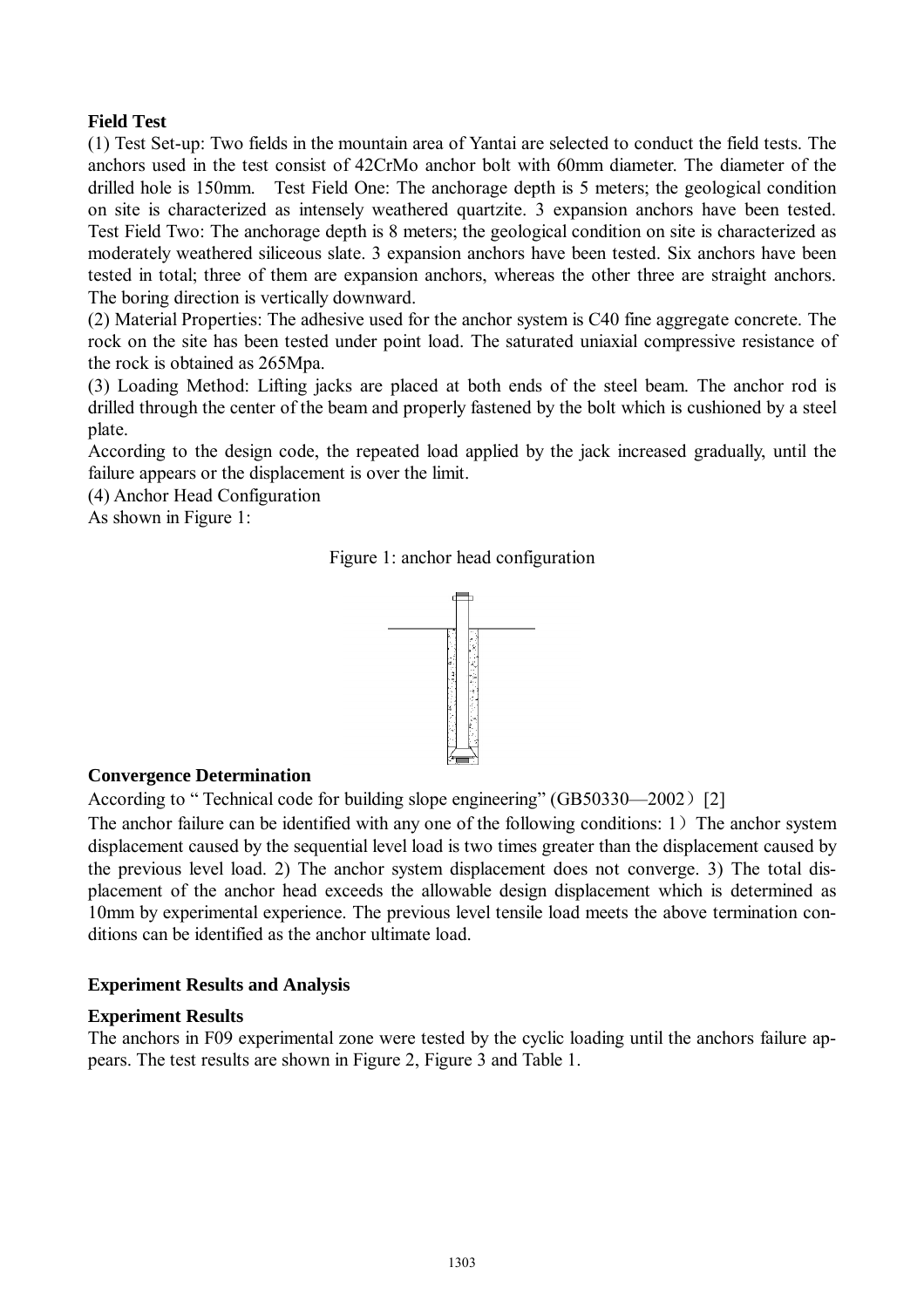## **Field Test**

(1) Test Set-up: Two fields in the mountain area of Yantai are selected to conduct the field tests. The anchors used in the test consist of 42CrMo anchor bolt with 60mm diameter. The diameter of the drilled hole is 150mm. Test Field One: The anchorage depth is 5 meters; the geological condition on site is characterized as intensely weathered quartzite. 3 expansion anchors have been tested. Test Field Two: The anchorage depth is 8 meters; the geological condition on site is characterized as moderately weathered siliceous slate. 3 expansion anchors have been tested. Six anchors have been tested in total; three of them are expansion anchors, whereas the other three are straight anchors. The boring direction is vertically downward.

(2) Material Properties: The adhesive used for the anchor system is C40 fine aggregate concrete. The rock on the site has been tested under point load. The saturated uniaxial compressive resistance of the rock is obtained as 265Mpa.

(3) Loading Method: Lifting jacks are placed at both ends of the steel beam. The anchor rod is drilled through the center of the beam and properly fastened by the bolt which is cushioned by a steel plate.

According to the design code, the repeated load applied by the jack increased gradually, until the failure appears or the displacement is over the limit.

(4) Anchor Head Configuration

As shown in Figure 1:

Figure 1: anchor head configuration



## **Convergence Determination**

According to " Technical code for building slope engineering" (GB50330—2002) [2]

The anchor failure can be identified with any one of the following conditions:  $1$ ) The anchor system displacement caused by the sequential level load is two times greater than the displacement caused by the previous level load. 2) The anchor system displacement does not converge. 3) The total displacement of the anchor head exceeds the allowable design displacement which is determined as 10mm by experimental experience. The previous level tensile load meets the above termination conditions can be identified as the anchor ultimate load.

## **Experiment Results and Analysis**

## **Experiment Results**

The anchors in F09 experimental zone were tested by the cyclic loading until the anchors failure appears. The test results are shown in Figure 2, Figure 3 and Table 1.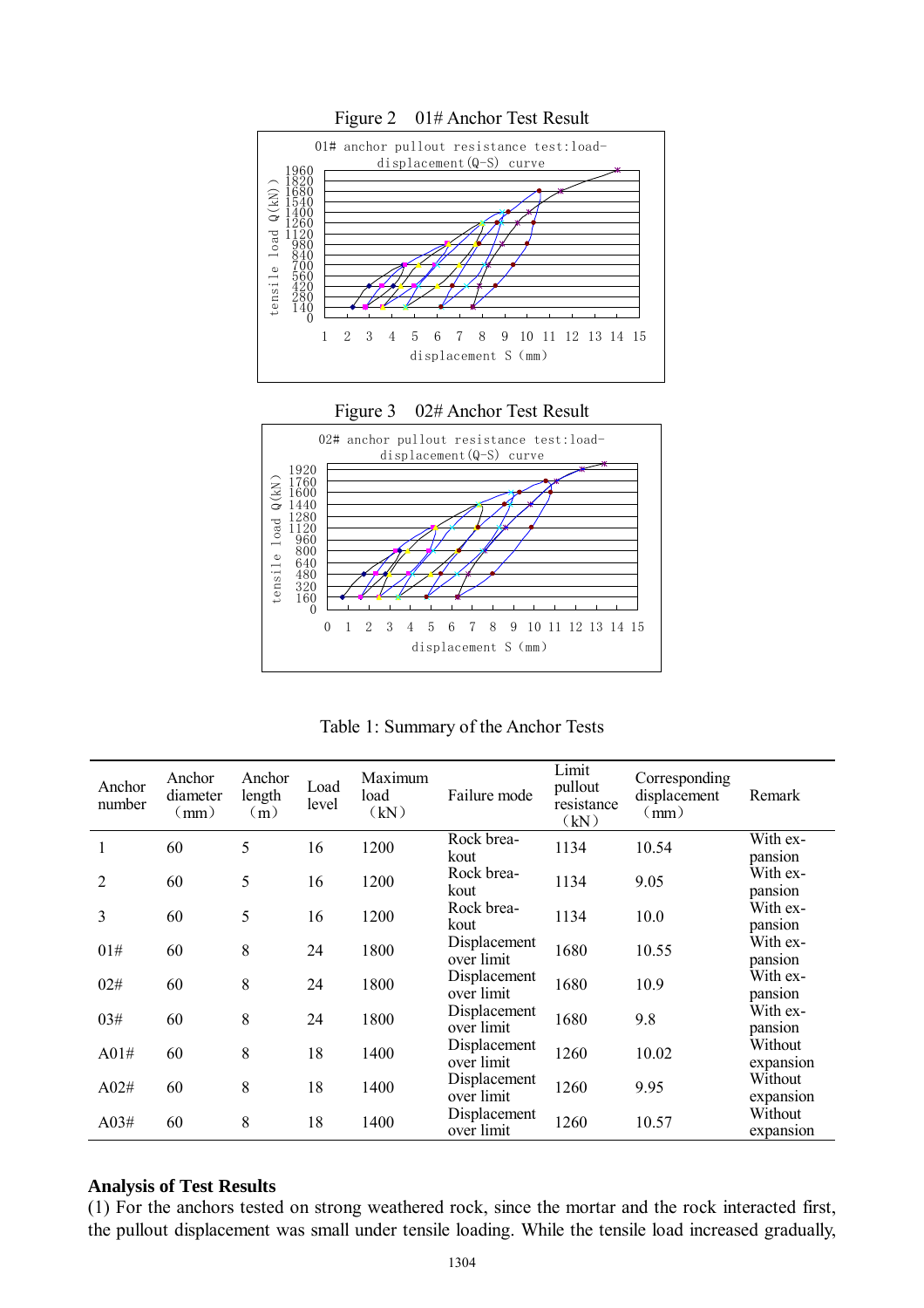

Table 1: Summary of the Anchor Tests

| Anchor<br>number | Anchor<br>diameter<br>(mm) | Anchor<br>length<br>(m) | Load<br>level | Maximum<br>load<br>(kN) | Failure mode               | Limit<br>pullout<br>resistance<br>(kN) | Corresponding<br>displacement<br>(mm) | Remark               |
|------------------|----------------------------|-------------------------|---------------|-------------------------|----------------------------|----------------------------------------|---------------------------------------|----------------------|
|                  | 60                         | 5                       | 16            | 1200                    | Rock brea-<br>kout         | 1134                                   | 10.54                                 | With ex-<br>pansion  |
| 2                | 60                         | 5                       | 16            | 1200                    | Rock brea-<br>kout         | 1134                                   | 9.05                                  | With ex-<br>pansion  |
| 3                | 60                         | 5                       | 16            | 1200                    | Rock brea-<br>kout         | 1134                                   | 10.0                                  | With ex-<br>pansion  |
| 01#              | 60                         | 8                       | 24            | 1800                    | Displacement<br>over limit | 1680                                   | 10.55                                 | With ex-<br>pansion  |
| 02#              | 60                         | 8                       | 24            | 1800                    | Displacement<br>over limit | 1680                                   | 10.9                                  | With ex-<br>pansion  |
| 03#              | 60                         | 8                       | 24            | 1800                    | Displacement<br>over limit | 1680                                   | 9.8                                   | With ex-<br>pansion  |
| A01#             | 60                         | 8                       | 18            | 1400                    | Displacement<br>over limit | 1260                                   | 10.02                                 | Without<br>expansion |
| A02#             | 60                         | 8                       | 18            | 1400                    | Displacement<br>over limit | 1260                                   | 9.95                                  | Without<br>expansion |
| A03#             | 60                         | 8                       | 18            | 1400                    | Displacement<br>over limit | 1260                                   | 10.57                                 | Without<br>expansion |

#### **Analysis of Test Results**

(1) For the anchors tested on strong weathered rock, since the mortar and the rock interacted first, the pullout displacement was small under tensile loading. While the tensile load increased gradually,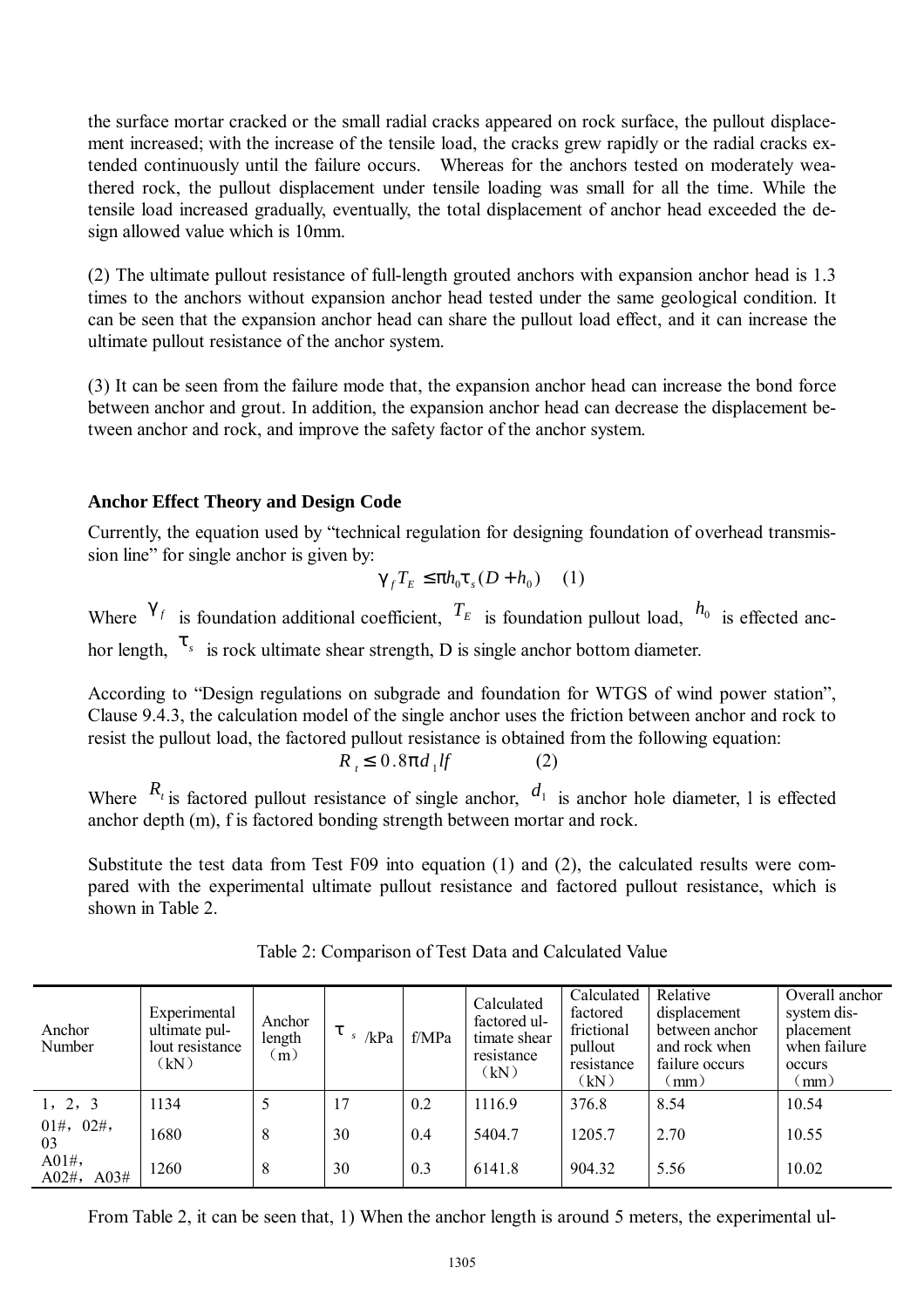the surface mortar cracked or the small radial cracks appeared on rock surface, the pullout displacement increased; with the increase of the tensile load, the cracks grew rapidly or the radial cracks extended continuously until the failure occurs. Whereas for the anchors tested on moderately weathered rock, the pullout displacement under tensile loading was small for all the time. While the tensile load increased gradually, eventually, the total displacement of anchor head exceeded the design allowed value which is 10mm.

(2) The ultimate pullout resistance of full-length grouted anchors with expansion anchor head is 1.3 times to the anchors without expansion anchor head tested under the same geological condition. It can be seen that the expansion anchor head can share the pullout load effect, and it can increase the ultimate pullout resistance of the anchor system.

(3) It can be seen from the failure mode that, the expansion anchor head can increase the bond force between anchor and grout. In addition, the expansion anchor head can decrease the displacement between anchor and rock, and improve the safety factor of the anchor system.

## **Anchor Effect Theory and Design Code**

Currently, the equation used by "technical regulation for designing foundation of overhead transmission line" for single anchor is given by:

$$
g_{f}T_{E} \leq ph_{0}t_{s}(D+h_{0}) \quad (1)
$$

Where  $g_f$  is foundation additional coefficient,  $T_E$  is foundation pullout load,  $h_0$  is effected anchor length,  $t_{s}$  is rock ultimate shear strength, D is single anchor bottom diameter.

According to "Design regulations on subgrade and foundation for WTGS of wind power station", Clause 9.4.3, the calculation model of the single anchor uses the friction between anchor and rock to resist the pullout load, the factored pullout resistance is obtained from the following equation:

$$
R_{t} \leq 0.8pd_{1}lf \qquad (2)
$$

Where  $R_t$  is factored pullout resistance of single anchor,  $d_1$  is anchor hole diameter, l is effected anchor depth (m), f is factored bonding strength between mortar and rock.

Substitute the test data from Test F09 into equation (1) and (2), the calculated results were compared with the experimental ultimate pullout resistance and factored pullout resistance, which is shown in Table 2.

| Anchor<br>Number                                               | Experimental<br>ultimate pul-<br>lout resistance<br>(kN) | Anchor<br>length<br>(m) | t<br>/kPa | f/MPa | Calculated<br>factored ul-<br>timate shear<br>resistance<br>(kN) | Calculated<br>factored<br>frictional<br>pullout<br>resistance<br>(kN) | Relative<br>displacement<br>between anchor<br>and rock when<br>failure occurs<br>$\pmod{m}$ | Overall anchor<br>system dis-<br>placement<br>when failure<br>occurs<br>$\mu$ mm $\mu$ |
|----------------------------------------------------------------|----------------------------------------------------------|-------------------------|-----------|-------|------------------------------------------------------------------|-----------------------------------------------------------------------|---------------------------------------------------------------------------------------------|----------------------------------------------------------------------------------------|
| 1, 2, 3                                                        | 1134                                                     | 5                       | 17        | 0.2   | 1116.9                                                           | 376.8                                                                 | 8.54                                                                                        | 10.54                                                                                  |
| $01\#$ , $02\#$ ,<br>03<br>$A01\#$ ,<br>A03#<br>$A02\text{\#}$ | 1680                                                     | 8                       | 30        | 0.4   | 5404.7                                                           | 1205.7                                                                | 2.70                                                                                        | 10.55                                                                                  |
|                                                                | 1260                                                     | 8                       | 30        | 0.3   | 6141.8                                                           | 904.32                                                                | 5.56                                                                                        | 10.02                                                                                  |

Table 2: Comparison of Test Data and Calculated Value

From Table 2, it can be seen that, 1) When the anchor length is around 5 meters, the experimental ul-